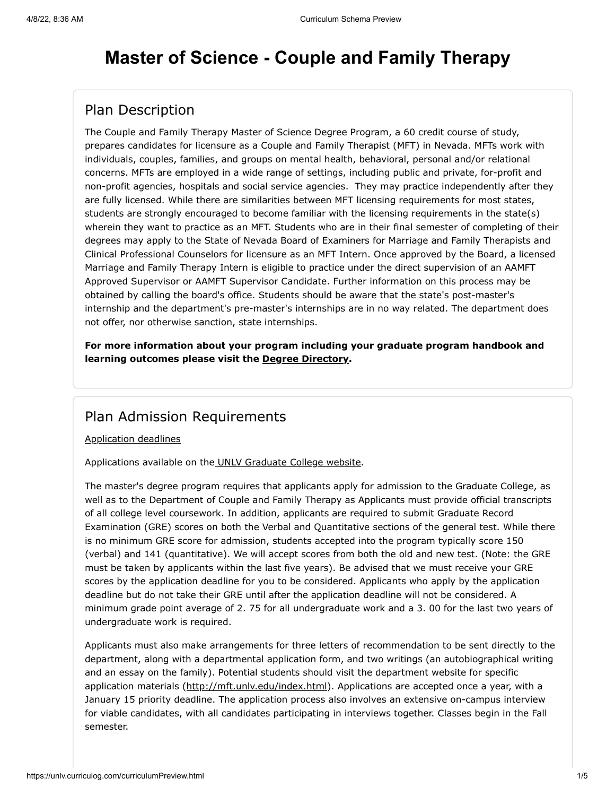# **Master of Science - Couple and Family Therapy**

# Plan Description

The Couple and Family Therapy Master of Science Degree Program, a 60 credit course of study, prepares candidates for licensure as a Couple and Family Therapist (MFT) in Nevada. MFTs work with individuals, couples, families, and groups on mental health, behavioral, personal and/or relational concerns. MFTs are employed in a wide range of settings, including public and private, for-profit and non-profit agencies, hospitals and social service agencies. They may practice independently after they are fully licensed. While there are similarities between MFT licensing requirements for most states, students are strongly encouraged to become familiar with the licensing requirements in the state(s) wherein they want to practice as an MFT. Students who are in their final semester of completing of their degrees may apply to the State of Nevada Board of Examiners for Marriage and Family Therapists and Clinical Professional Counselors for licensure as an MFT Intern. Once approved by the Board, a licensed Marriage and Family Therapy Intern is eligible to practice under the direct supervision of an AAMFT Approved Supervisor or AAMFT Supervisor Candidate. Further information on this process may be obtained by calling the board's office. Students should be aware that the state's post-master's internship and the department's pre-master's internships are in no way related. The department does not offer, nor otherwise sanction, state internships.

**For more information about your program including your graduate program handbook and learning outcomes please visit the [Degree Directory](http://www.unlv.edu/degree/ms-marriage-family-therapy).**

#### Plan Admission Requirements

[Application deadlines](http://www.unlv.edu/graduatecollege/application-deadlines)

Applications available on th[e UNLV Graduate College website.](http://graduatecollege.unlv.edu/admissions/)

The master's degree program requires that applicants apply for admission to the Graduate College, as well as to the Department of Couple and Family Therapy as Applicants must provide official transcripts of all college level coursework. In addition, applicants are required to submit Graduate Record Examination (GRE) scores on both the Verbal and Quantitative sections of the general test. While there is no minimum GRE score for admission, students accepted into the program typically score 150 (verbal) and 141 (quantitative). We will accept scores from both the old and new test. (Note: the GRE must be taken by applicants within the last five years). Be advised that we must receive your GRE scores by the application deadline for you to be considered. Applicants who apply by the application deadline but do not take their GRE until after the application deadline will not be considered. A minimum grade point average of 2. 75 for all undergraduate work and a 3. 00 for the last two years of undergraduate work is required.

Applicants must also make arrangements for three letters of recommendation to be sent directly to the department, along with a departmental application form, and two writings (an autobiographical writing and an essay on the family). Potential students should visit the department website for specific application materials ([http://mft.unlv.edu/index.html\)](http://mft.unlv.edu/index.html). Applications are accepted once a year, with a January 15 priority deadline. The application process also involves an extensive on-campus interview for viable candidates, with all candidates participating in interviews together. Classes begin in the Fall semester.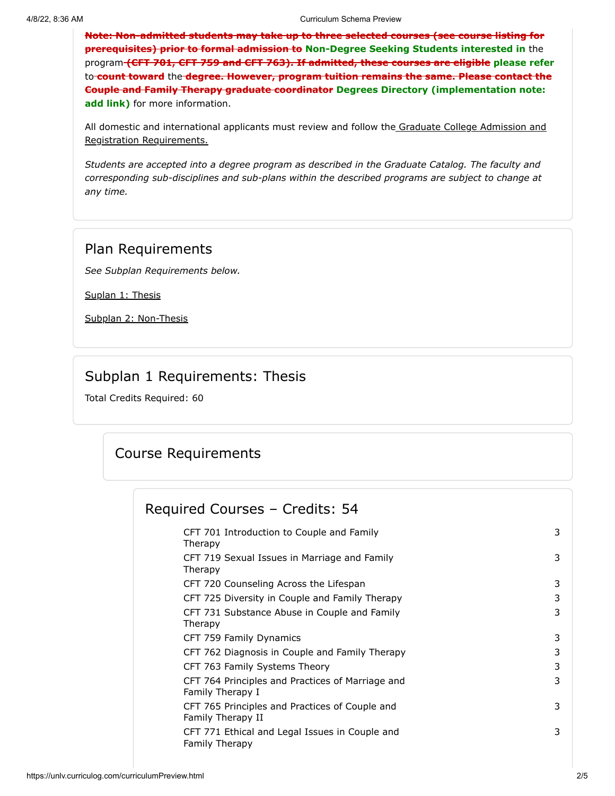**Note: Non-admitted students may take up to three selected courses (see course listing for prerequisites) prior to formal admission to Non-Degree Seeking Students interested in** the program **(CFT 701, CFT 759 and CFT 763). If admitted, these courses are eligible please refer** to **count toward** the **degree. However, program tuition remains the same. Please contact the Couple and Family Therapy graduate coordinator Degrees Directory (implementation note: add link)** for more information.

[All domestic and international applicants must review and follow the Graduate College Admission and](http://www.unlv.edu/graduatecollege/futurestudents) Registration Requirements.

*Students are accepted into a degree program as described in the Graduate Catalog. The faculty and corresponding sub-disciplines and sub-plans within the described programs are subject to change at any time.*

#### Plan Requirements

*See Subplan Requirements below.*

[Suplan 1: Thesis](#page-1-0)

[Subplan 2: Non-Thesis](#page-3-0)

#### Subplan 1 Requirements: Thesis

<span id="page-1-0"></span>Total Credits Required: 60

# Course Requirements

#### Required Courses – Credits: 54

| CFT 701 Introduction to Couple and Family<br>Therapy                    | 3 |
|-------------------------------------------------------------------------|---|
| CFT 719 Sexual Issues in Marriage and Family<br>Therapy                 | 3 |
| CFT 720 Counseling Across the Lifespan                                  | 3 |
| CFT 725 Diversity in Couple and Family Therapy                          | 3 |
| CFT 731 Substance Abuse in Couple and Family<br>Therapy                 | 3 |
| CFT 759 Family Dynamics                                                 | 3 |
| CFT 762 Diagnosis in Couple and Family Therapy                          | 3 |
| CFT 763 Family Systems Theory                                           | 3 |
| CFT 764 Principles and Practices of Marriage and<br>Family Therapy I    | 3 |
| CFT 765 Principles and Practices of Couple and<br>Family Therapy II     | 3 |
| CFT 771 Ethical and Legal Issues in Couple and<br><b>Family Therapy</b> | 3 |
|                                                                         |   |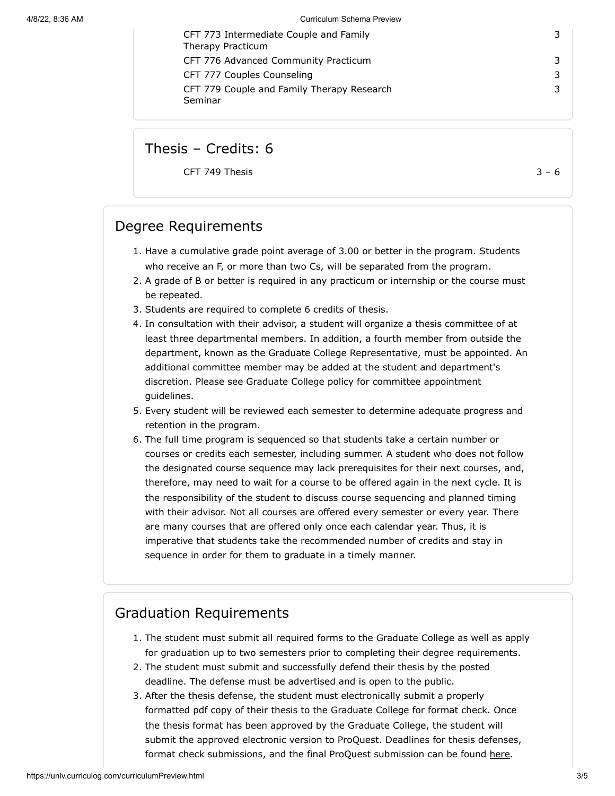| CFT 773 Intermediate Couple and Family     |   |
|--------------------------------------------|---|
| Therapy Practicum                          |   |
| CFT 776 Advanced Community Practicum       | 3 |
| CFT 777 Couples Counseling                 | 3 |
| CFT 779 Couple and Family Therapy Research | 3 |
| Seminar                                    |   |

Thesis – Credits: 6

CFT 749 Thesis  $3 - 6$ 

#### Degree Requirements

- 1. Have a cumulative grade point average of 3.00 or better in the program. Students who receive an F, or more than two Cs, will be separated from the program.
- 2. A grade of B or better is required in any practicum or internship or the course must be repeated.
- 3. Students are required to complete 6 credits of thesis.
- 4. In consultation with their advisor, a student will organize a thesis committee of at least three departmental members. In addition, a fourth member from outside the department, known as the Graduate College Representative, must be appointed. An additional committee member may be added at the student and department's discretion. Please see Graduate College policy for committee appointment guidelines.
- 5. Every student will be reviewed each semester to determine adequate progress and retention in the program.
- 6. The full time program is sequenced so that students take a certain number or courses or credits each semester, including summer. A student who does not follow the designated course sequence may lack prerequisites for their next courses, and, therefore, may need to wait for a course to be offered again in the next cycle. It is the responsibility of the student to discuss course sequencing and planned timing with their advisor. Not all courses are offered every semester or every year. There are many courses that are offered only once each calendar year. Thus, it is imperative that students take the recommended number of credits and stay in sequence in order for them to graduate in a timely manner.

#### Graduation Requirements

- 1. The student must submit all required forms to the Graduate College as well as apply for graduation up to two semesters prior to completing their degree requirements.
- 2. The student must submit and successfully defend their thesis by the posted deadline. The defense must be advertised and is open to the public.
- 3. After the thesis defense, the student must electronically submit a properly formatted pdf copy of their thesis to the Graduate College for format check. Once the thesis format has been approved by the Graduate College, the student will submit the approved electronic version to ProQuest. Deadlines for thesis defenses, format check submissions, and the final ProQuest submission can be found [here.](https://www.unlv.edu/graduatecollege/graduation-deadlines)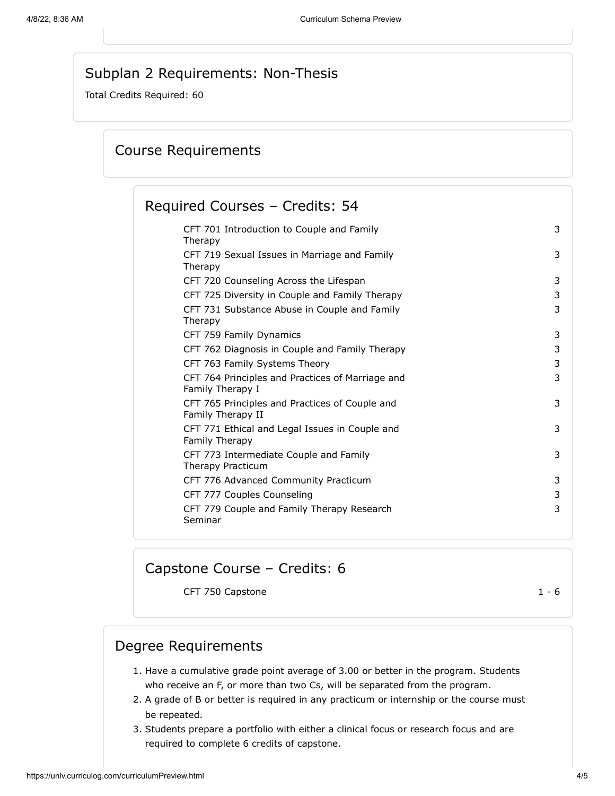# Subplan 2 Requirements: Non-Thesis

<span id="page-3-0"></span>Total Credits Required: 60

# Course Requirements

## Required Courses – Credits: 54

| CFT 701 Introduction to Couple and Family<br>Therapy                 | 3 |
|----------------------------------------------------------------------|---|
| CFT 719 Sexual Issues in Marriage and Family<br>Therapy              | 3 |
| CFT 720 Counseling Across the Lifespan                               | 3 |
| CFT 725 Diversity in Couple and Family Therapy                       | 3 |
| CFT 731 Substance Abuse in Couple and Family<br>Therapy              | 3 |
| CFT 759 Family Dynamics                                              | 3 |
| CFT 762 Diagnosis in Couple and Family Therapy                       | 3 |
| CFT 763 Family Systems Theory                                        | 3 |
| CFT 764 Principles and Practices of Marriage and<br>Family Therapy I | 3 |
| CFT 765 Principles and Practices of Couple and<br>Family Therapy II  | 3 |
| CFT 771 Ethical and Legal Issues in Couple and<br>Family Therapy     | 3 |
| CFT 773 Intermediate Couple and Family<br>Therapy Practicum          | 3 |
| CFT 776 Advanced Community Practicum                                 | 3 |
| CFT 777 Couples Counseling                                           | 3 |
| CFT 779 Couple and Family Therapy Research<br>Seminar                | 3 |
|                                                                      |   |

# Capstone Course – Credits: 6

CFT 750 Capstone 1 - 6

#### Degree Requirements

- 1. Have a cumulative grade point average of 3.00 or better in the program. Students who receive an F, or more than two Cs, will be separated from the program.
- 2. A grade of B or better is required in any practicum or internship or the course must be repeated.
- 3. Students prepare a portfolio with either a clinical focus or research focus and are required to complete 6 credits of capstone.